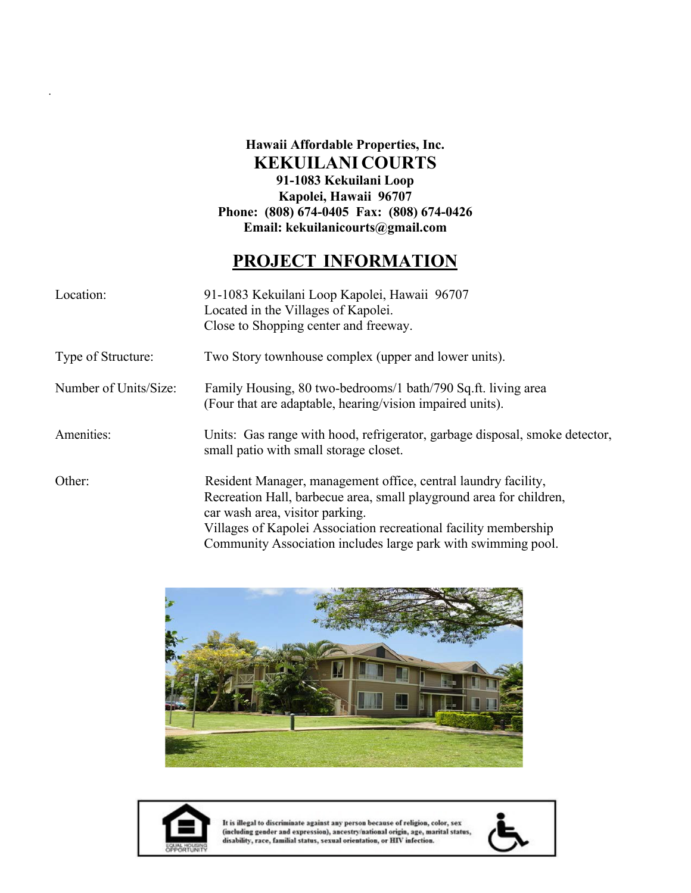### **Hawaii Affordable Properties, Inc. KEKUILANI COURTS 91-1083 Kekuilani Loop Kapolei, Hawaii 96707 Phone: (808) 674-0405 Fax: (808) 674-0426 Email: [kekuilanicourts@gmail.com](mailto:kekuilanicourts@gmail.com)**

# **PROJECT INFORMATION**

| Location:             | 91-1083 Kekuilani Loop Kapolei, Hawaii 96707<br>Located in the Villages of Kapolei.<br>Close to Shopping center and freeway.                                                                                                                                                                                  |
|-----------------------|---------------------------------------------------------------------------------------------------------------------------------------------------------------------------------------------------------------------------------------------------------------------------------------------------------------|
| Type of Structure:    | Two Story townhouse complex (upper and lower units).                                                                                                                                                                                                                                                          |
| Number of Units/Size: | Family Housing, 80 two-bedrooms/1 bath/790 Sq.ft. living area<br>(Four that are adaptable, hearing/vision impaired units).                                                                                                                                                                                    |
| Amenities:            | Units: Gas range with hood, refrigerator, garbage disposal, smoke detector,<br>small patio with small storage closet.                                                                                                                                                                                         |
| Other:                | Resident Manager, management office, central laundry facility,<br>Recreation Hall, barbecue area, small playground area for children,<br>car wash area, visitor parking.<br>Villages of Kapolei Association recreational facility membership<br>Community Association includes large park with swimming pool. |





.

It is illegal to discriminate against any person because of religion, color, sex<br>(including gender and expression), ancestry/national origin, age, marital status,<br>disability, race, familial status, sexual orientation, or H

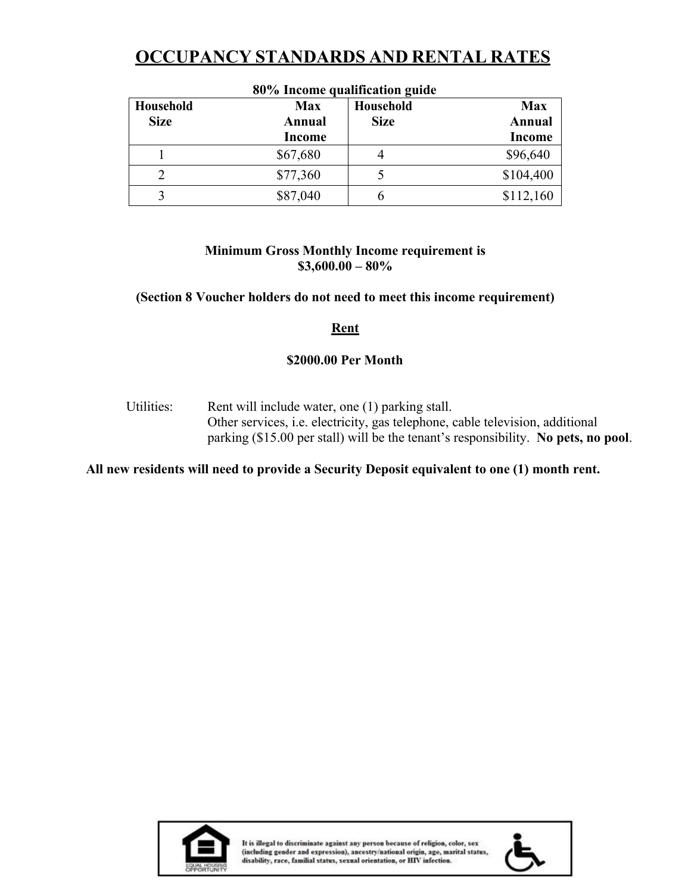# **OCCUPANCY STANDARDS AND RENTAL RATES**

| 80% Income qualification guide |               |             |               |  |  |  |
|--------------------------------|---------------|-------------|---------------|--|--|--|
| Household                      | <b>Max</b>    | Household   | <b>Max</b>    |  |  |  |
| <b>Size</b>                    | Annual        | <b>Size</b> | <b>Annual</b> |  |  |  |
|                                | <b>Income</b> |             | <b>Income</b> |  |  |  |
|                                | \$67,680      |             | \$96,640      |  |  |  |
|                                | \$77,360      |             | \$104,400     |  |  |  |
|                                | \$87,040      |             | \$112,160     |  |  |  |

#### **Minimum Gross Monthly Income requirement is \$3,600.00 – 80%**

#### **(Section 8 Voucher holders do not need to meet this income requirement)**

#### **Rent**

#### **\$2000.00 Per Month**

Utilities: Rent will include water, one (1) parking stall. Other services, i.e. electricity, gas telephone, cable television, additional parking (\$15.00 per stall) will be the tenant's responsibility. **No pets, no pool**.

#### **All new residents will need to provide a Security Deposit equivalent to one (1) month rent.**



It is illegal to discriminate against any person because of religion, color, sex (including gender and expression), ancestry/national origin, age, marital status, disability, race, familial status, sexual orientation, or HIV infection.

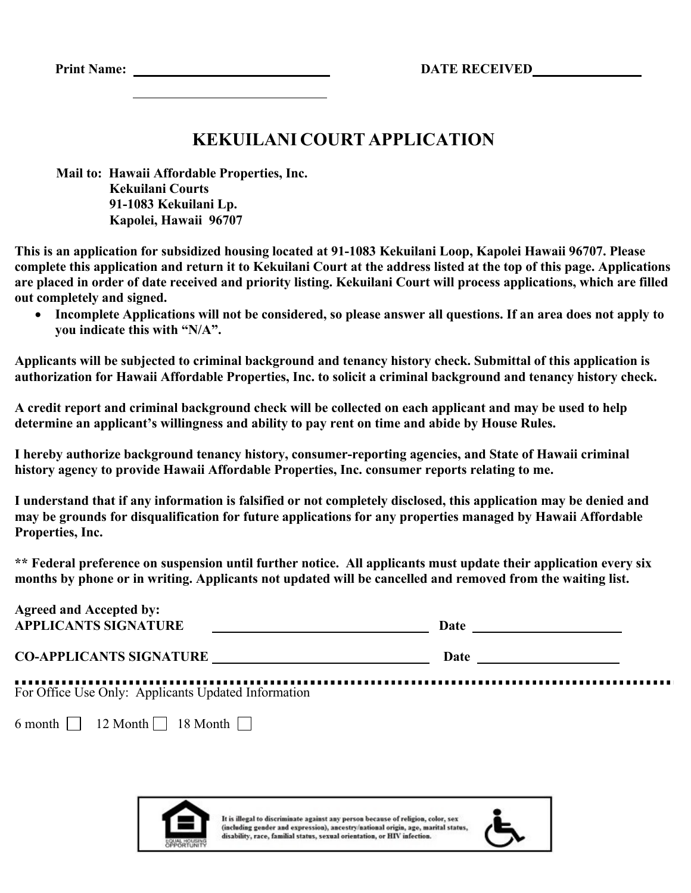**Print Name: DATE RECEIVED**

## **KEKUILANI COURT APPLICATION**

**Mail to: Hawaii Affordable Properties, Inc. Kekuilani Courts 91-1083 Kekuilani Lp. Kapolei, Hawaii 96707**

**This is an application for subsidized housing located at 91-1083 Kekuilani Loop, Kapolei Hawaii 96707. Please complete this application and return it to Kekuilani Court at the address listed at the top of this page. Applications are placed in order of date received and priority listing. Kekuilani Court will process applications, which are filled out completely and signed.**

• **Incomplete Applications will not be considered, so please answer all questions. If an area does not apply to you indicate this with "N/A".**

**Applicants will be subjected to criminal background and tenancy history check. Submittal of this application is authorization for Hawaii Affordable Properties, Inc. to solicit a criminal background and tenancy history check.**

**A credit report and criminal background check will be collected on each applicant and may be used to help determine an applicant's willingness and ability to pay rent on time and abide by House Rules.**

**I hereby authorize background tenancy history, consumer-reporting agencies, and State of Hawaii criminal history agency to provide Hawaii Affordable Properties, Inc. consumer reports relating to me.**

**I understand that if any information is falsified or not completely disclosed, this application may be denied and may be grounds for disqualification for future applications for any properties managed by Hawaii Affordable Properties, Inc.**

**\*\* Federal preference on suspension until further notice. All applicants must update their application every six months by phone or in writing. Applicants not updated will be cancelled and removed from the waiting list.**

| <b>Agreed and Accepted by:</b><br><b>APPLICANTS SIGNATURE</b> | Date |
|---------------------------------------------------------------|------|
| <b>CO-APPLICANTS SIGNATURE</b>                                | Date |
| For Office Use Only: Applicants Updated Information           |      |
| 6 month $\Box$ 12 Month $\Box$ 18 Month $\Box$                |      |



It is illegal to discriminate against any person because of religion, color, sex (including gender and expression), ancestry/national origin, age, marital status, disability, race, familial status, sexual orientation, or HIV infection.

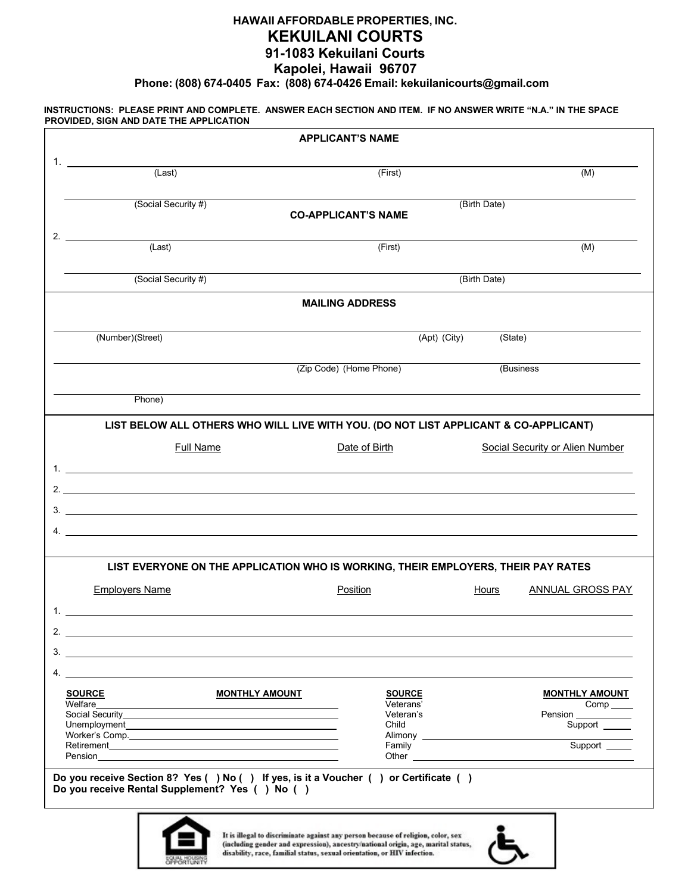#### **HAWAII AFFORDABLE PROPERTIES, INC. KEKUILANI COURTS 91-1083 Kekuilani Courts Kapolei, Hawaii 96707**

**Phone: (808) 674-0405 Fax: (808) 674-0426 Email: [kekuilanicourts@gmail.com](mailto:kekuilanicourts@gmail.com)**

#### **INSTRUCTIONS: PLEASE PRINT AND COMPLETE. ANSWER EACH SECTION AND ITEM. IF NO ANSWER WRITE "N.A." IN THE SPACE PROVIDED, SIGN AND DATE THE APPLICATION**

|                                                                                                                                                                                                                                      | <b>APPLICANT'S NAME</b>                    |                                |                                                                                                                                        |  |  |
|--------------------------------------------------------------------------------------------------------------------------------------------------------------------------------------------------------------------------------------|--------------------------------------------|--------------------------------|----------------------------------------------------------------------------------------------------------------------------------------|--|--|
| $1.$ $\sim$ $\sim$ $\sim$<br>(Last)                                                                                                                                                                                                  | (First)                                    |                                | (M)                                                                                                                                    |  |  |
| (Social Security #)                                                                                                                                                                                                                  | (Birth Date)<br><b>CO-APPLICANT'S NAME</b> |                                |                                                                                                                                        |  |  |
| 2. $\qquad \qquad$<br>(Last)                                                                                                                                                                                                         | (First)                                    |                                | (M)                                                                                                                                    |  |  |
| (Social Security #)                                                                                                                                                                                                                  | (Birth Date)                               |                                |                                                                                                                                        |  |  |
|                                                                                                                                                                                                                                      | <b>MAILING ADDRESS</b>                     |                                |                                                                                                                                        |  |  |
| (Number)(Street)                                                                                                                                                                                                                     | (Apt) (City)                               | (State)                        |                                                                                                                                        |  |  |
|                                                                                                                                                                                                                                      | (Zip Code) (Home Phone)                    |                                | (Business                                                                                                                              |  |  |
| Phone)                                                                                                                                                                                                                               |                                            |                                |                                                                                                                                        |  |  |
| LIST BELOW ALL OTHERS WHO WILL LIVE WITH YOU. (DO NOT LIST APPLICANT & CO-APPLICANT)                                                                                                                                                 |                                            |                                |                                                                                                                                        |  |  |
| <b>Full Name</b>                                                                                                                                                                                                                     | Date of Birth                              |                                | <b>Social Security or Alien Number</b>                                                                                                 |  |  |
|                                                                                                                                                                                                                                      |                                            |                                |                                                                                                                                        |  |  |
|                                                                                                                                                                                                                                      |                                            |                                |                                                                                                                                        |  |  |
|                                                                                                                                                                                                                                      |                                            |                                |                                                                                                                                        |  |  |
|                                                                                                                                                                                                                                      |                                            |                                |                                                                                                                                        |  |  |
|                                                                                                                                                                                                                                      |                                            |                                |                                                                                                                                        |  |  |
| LIST EVERYONE ON THE APPLICATION WHO IS WORKING, THEIR EMPLOYERS, THEIR PAY RATES                                                                                                                                                    |                                            |                                |                                                                                                                                        |  |  |
| <b>Employers Name</b>                                                                                                                                                                                                                | Position                                   | <b>Hours</b>                   |                                                                                                                                        |  |  |
|                                                                                                                                                                                                                                      |                                            |                                |                                                                                                                                        |  |  |
|                                                                                                                                                                                                                                      |                                            |                                |                                                                                                                                        |  |  |
|                                                                                                                                                                                                                                      |                                            |                                |                                                                                                                                        |  |  |
|                                                                                                                                                                                                                                      |                                            |                                |                                                                                                                                        |  |  |
| <b>SOURCE</b><br><b>MONTHLY AMOUNT</b>                                                                                                                                                                                               | <b>SOURCE</b>                              |                                |                                                                                                                                        |  |  |
| Welfare <b>Contract Contract Contract Contract Contract Contract Contract Contract Contract Contract Contract Contract Contract Contract Contract Contract Contract Contract Contract Contract Contract Contract Contract Contra</b> | Veterans'<br>Veteran's                     |                                |                                                                                                                                        |  |  |
|                                                                                                                                                                                                                                      | Child                                      |                                |                                                                                                                                        |  |  |
|                                                                                                                                                                                                                                      | Family                                     | Alimony <b>Alimony Alimony</b> |                                                                                                                                        |  |  |
|                                                                                                                                                                                                                                      |                                            |                                | <b>ANNUAL GROSS PAY</b><br><b>MONTHLY AMOUNT</b><br>$Comp$ <sub>_____</sub><br>Pension ____________<br>Support ______<br>Support _____ |  |  |
| Do you receive Section 8? Yes () No () If yes, is it a Voucher () or Certificate ()<br>Do you receive Rental Supplement? Yes ( ) No ( )                                                                                              |                                            |                                |                                                                                                                                        |  |  |



It is illegal to discriminate against any person because of religion, color, sex<br>(including gender and expression), ancestry/national origin, age, marital status,<br>disability, race, familial status, sexual orientation, or H